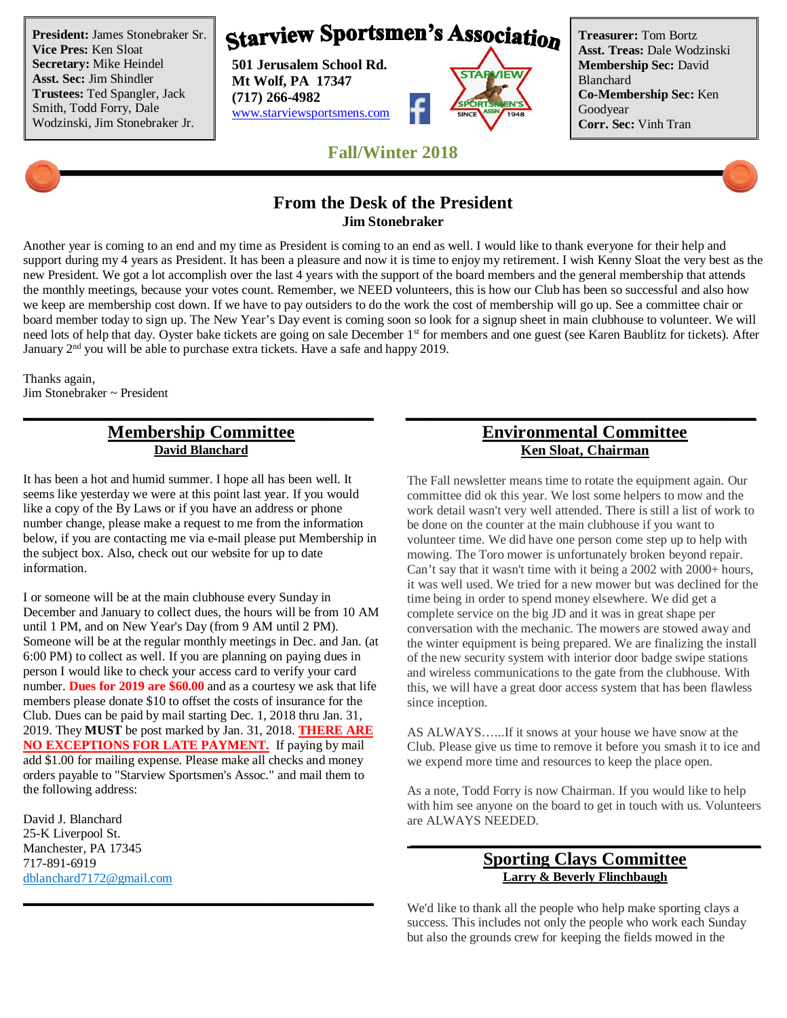**President:** James Stonebraker Sr. **Vice Pres:** Ken Sloat **Secretary:** Mike Heindel **Asst. Sec:** Jim Shindler **Trustees:** Ted Spangler, Jack Smith, Todd Forry, Dale Wodzinski, Jim Stonebraker Jr.

# **Starview Sportsmen's Association**

**501 Jerusalem School Rd. Mt Wolf, PA 17347 (717) 266-4982** www.starviewsportsmens.com



**Treasurer:** Tom Bortz **Asst. Treas:** Dale Wodzinski **Membership Sec:** David Blanchard **Co-Membership Sec:** Ken Goodyear **Corr. Sec:** Vinh Tran

**Fall/Winter 2018**

## **From the Desk of the President Jim Stonebraker**

Another year is coming to an end and my time as President is coming to an end as well. I would like to thank everyone for their help and support during my 4 years as President. It has been a pleasure and now it is time to enjoy my retirement. I wish Kenny Sloat the very best as the new President. We got a lot accomplish over the last 4 years with the support of the board members and the general membership that attends the monthly meetings, because your votes count. Remember, we NEED volunteers, this is how our Club has been so successful and also how we keep are membership cost down. If we have to pay outsiders to do the work the cost of membership will go up. See a committee chair or board member today to sign up. The New Year's Day event is coming soon so look for a signup sheet in main clubhouse to volunteer. We will need lots of help that day. Oyster bake tickets are going on sale December 1<sup>st</sup> for members and one guest (see Karen Baublitz for tickets). After January  $2<sup>nd</sup>$  you will be able to purchase extra tickets. Have a safe and happy 2019.

**\_\_\_\_\_\_\_\_\_\_\_\_\_\_\_\_\_\_\_\_\_\_\_\_\_\_\_\_\_\_\_\_\_\_\_\_\_\_\_ \_\_\_\_\_\_\_\_\_\_\_\_\_\_\_\_\_\_\_\_\_\_\_\_\_\_\_\_\_\_\_\_\_\_\_\_\_\_\_**

Thanks again, Jim Stonebraker ~ President

# **Membership Committee David Blanchard**

It has been a hot and humid summer. I hope all has been well. It seems like yesterday we were at this point last year. If you would like a copy of the By Laws or if you have an address or phone number change, please make a request to me from the information below, if you are contacting me via e-mail please put Membership in the subject box. Also, check out our website for up to date information.

I or someone will be at the main clubhouse every Sunday in December and January to collect dues, the hours will be from 10 AM until 1 PM, and on New Year's Day (from 9 AM until 2 PM). Someone will be at the regular monthly meetings in Dec. and Jan. (at 6:00 PM) to collect as well. If you are planning on paying dues in person I would like to check your access card to verify your card number. **Dues for 2019 are \$60.00** and as a courtesy we ask that life members please donate \$10 to offset the costs of insurance for the Club. Dues can be paid by mail starting Dec. 1, 2018 thru Jan. 31, 2019. They **MUST** be post marked by Jan. 31, 2018. **THERE ARE NO EXCEPTIONS FOR LATE PAYMENT.** If paying by mail add \$1.00 for mailing expense. Please make all checks and money orders payable to "Starview Sportsmen's Assoc." and mail them to the following address:

**\_\_\_\_\_\_\_\_\_\_\_\_\_\_\_\_\_\_\_\_\_\_\_\_\_\_\_\_\_\_\_\_\_\_\_\_\_\_\_**

David J. Blanchard 25-K Liverpool St. Manchester, PA 17345 717-891-6919 dblanchard7172@gmail.com

## **Environmental Committee Ken Sloat, Chairman**

The Fall newsletter means time to rotate the equipment again. Our committee did ok this year. We lost some helpers to mow and the work detail wasn't very well attended. There is still a list of work to be done on the counter at the main clubhouse if you want to volunteer time. We did have one person come step up to help with mowing. The Toro mower is unfortunately broken beyond repair. Can't say that it wasn't time with it being a 2002 with 2000+ hours, it was well used. We tried for a new mower but was declined for the time being in order to spend money elsewhere. We did get a complete service on the big JD and it was in great shape per conversation with the mechanic. The mowers are stowed away and the winter equipment is being prepared. We are finalizing the install of the new security system with interior door badge swipe stations and wireless communications to the gate from the clubhouse. With this, we will have a great door access system that has been flawless since inception.

AS ALWAYS…...If it snows at your house we have snow at the Club. Please give us time to remove it before you smash it to ice and we expend more time and resources to keep the place open.

As a note, Todd Forry is now Chairman. If you would like to help with him see anyone on the board to get in touch with us. Volunteers are ALWAYS NEEDED.

#### **Sporting Clays Committee Larry & Beverly Flinchbaugh**

**\_\_\_\_\_\_\_\_\_\_\_\_\_\_\_\_\_\_\_\_\_\_\_\_\_\_\_\_\_\_\_\_\_\_\_\_\_\_\_**

We'd like to thank all the people who help make sporting clays a success. This includes not only the people who work each Sunday but also the grounds crew for keeping the fields mowed in the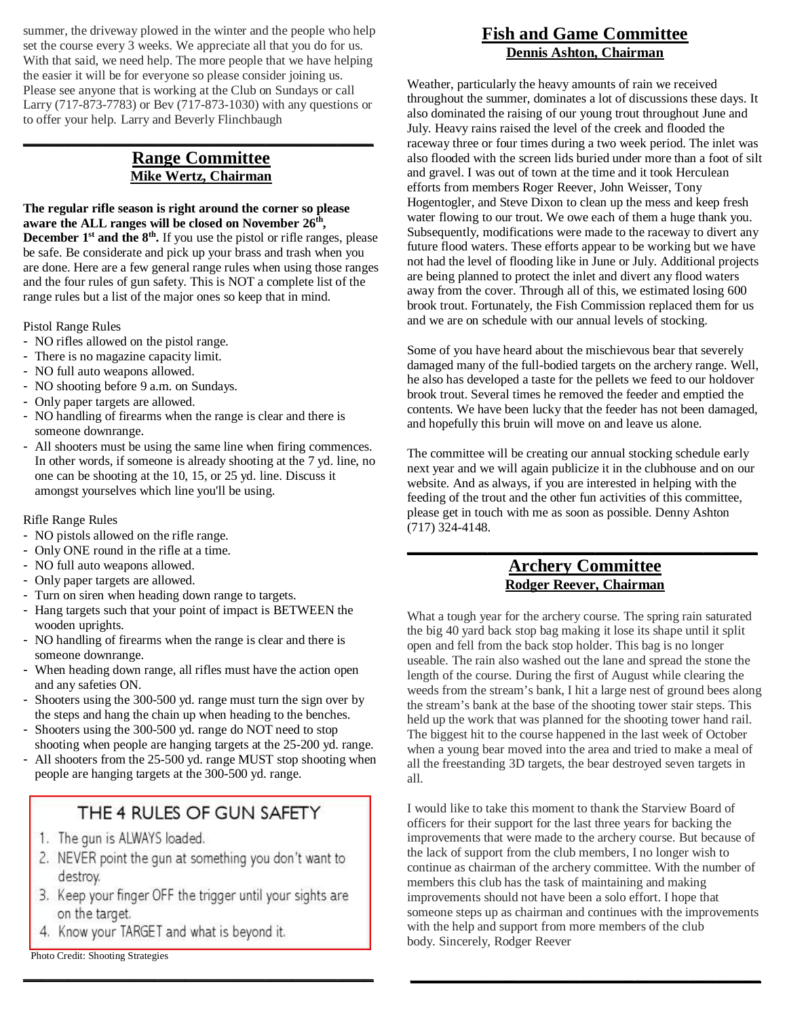summer, the driveway plowed in the winter and the people who help set the course every 3 weeks. We appreciate all that you do for us. With that said, we need help. The more people that we have helping the easier it will be for everyone so please consider joining us. Please see anyone that is working at the Club on Sundays or call Larry (717-873-7783) or Bev (717-873-1030) with any questions or to offer your help. Larry and Beverly Flinchbaugh

#### **Range Committee Mike Wertz, Chairman**

**\_\_\_\_\_\_\_\_\_\_\_\_\_\_\_\_\_\_\_\_\_\_\_\_\_\_\_\_\_\_\_\_\_\_\_\_\_\_\_**

**The regular rifle season is right around the corner so please aware the ALL ranges will be closed on November 26th ,**

**December 1st and the 8th .** If you use the pistol or rifle ranges, please be safe. Be considerate and pick up your brass and trash when you are done. Here are a few general range rules when using those ranges and the four rules of gun safety. This is NOT a complete list of the range rules but a list of the major ones so keep that in mind.

Pistol Range Rules

- NO rifles allowed on the pistol range.
- There is no magazine capacity limit.
- NO full auto weapons allowed.
- NO shooting before 9 a.m. on Sundays.
- Only paper targets are allowed.
- NO handling of firearms when the range is clear and there is someone downrange.
- All shooters must be using the same line when firing commences. In other words, if someone is already shooting at the 7 yd. line, no one can be shooting at the 10, 15, or 25 yd. line. Discuss it amongst yourselves which line you'll be using.

#### Rifle Range Rules

- NO pistols allowed on the rifle range.
- Only ONE round in the rifle at a time.
- NO full auto weapons allowed.
- Only paper targets are allowed.
- Turn on siren when heading down range to targets.
- Hang targets such that your point of impact is BETWEEN the wooden uprights.
- NO handling of firearms when the range is clear and there is someone downrange.
- When heading down range, all rifles must have the action open and any safeties ON.
- Shooters using the 300-500 yd. range must turn the sign over by the steps and hang the chain up when heading to the benches.
- Shooters using the 300-500 yd. range do NOT need to stop shooting when people are hanging targets at the 25-200 yd. range.
- All shooters from the 25-500 yd. range MUST stop shooting when people are hanging targets at the 300-500 yd. range.

# THE 4 RULES OF GUN SAFETY

- 1. The gun is ALWAYS loaded.
- 2. NEVER point the gun at something you don't want to destroy.
- 3. Keep your finger OFF the trigger until your sights are on the target.

**\_\_\_\_\_\_\_\_\_\_\_\_\_\_\_\_\_\_\_\_\_\_\_\_\_\_\_\_\_\_\_\_\_\_\_\_\_\_\_**

4. Know your TARGET and what is beyond it.

Photo Credit: Shooting Strategies

## **Fish and Game Committee Dennis Ashton, Chairman**

Weather, particularly the heavy amounts of rain we received throughout the summer, dominates a lot of discussions these days. It also dominated the raising of our young trout throughout June and July. Heavy rains raised the level of the creek and flooded the raceway three or four times during a two week period. The inlet was also flooded with the screen lids buried under more than a foot of silt and gravel. I was out of town at the time and it took Herculean efforts from members Roger Reever, John Weisser, Tony Hogentogler, and Steve Dixon to clean up the mess and keep fresh water flowing to our trout. We owe each of them a huge thank you. Subsequently, modifications were made to the raceway to divert any future flood waters. These efforts appear to be working but we have not had the level of flooding like in June or July. Additional projects are being planned to protect the inlet and divert any flood waters away from the cover. Through all of this, we estimated losing 600 brook trout. Fortunately, the Fish Commission replaced them for us and we are on schedule with our annual levels of stocking.

Some of you have heard about the mischievous bear that severely damaged many of the full-bodied targets on the archery range. Well, he also has developed a taste for the pellets we feed to our holdover brook trout. Several times he removed the feeder and emptied the contents. We have been lucky that the feeder has not been damaged, and hopefully this bruin will move on and leave us alone.

The committee will be creating our annual stocking schedule early next year and we will again publicize it in the clubhouse and on our website. And as always, if you are interested in helping with the feeding of the trout and the other fun activities of this committee, please get in touch with me as soon as possible. Denny Ashton (717) 324-4148.

#### **Archery Committee Rodger Reever, Chairman**

**\_\_\_\_\_\_\_\_\_\_\_\_\_\_\_\_\_\_\_\_\_\_\_\_\_\_\_\_\_\_\_\_\_\_\_\_\_\_\_**

What a tough year for the archery course. The spring rain saturated the big 40 yard back stop bag making it lose its shape until it split open and fell from the back stop holder. This bag is no longer useable. The rain also washed out the lane and spread the stone the length of the course. During the first of August while clearing the weeds from the stream's bank, I hit a large nest of ground bees along the stream's bank at the base of the shooting tower stair steps. This held up the work that was planned for the shooting tower hand rail. The biggest hit to the course happened in the last week of October when a young bear moved into the area and tried to make a meal of all the freestanding 3D targets, the bear destroyed seven targets in all.

I would like to take this moment to thank the Starview Board of officers for their support for the last three years for backing the improvements that were made to the archery course. But because of the lack of support from the club members, I no longer wish to continue as chairman of the archery committee. With the number of members this club has the task of maintaining and making improvements should not have been a solo effort. I hope that someone steps up as chairman and continues with the improvements with the help and support from more members of the club body. Sincerely, Rodger Reever

**\_\_\_\_\_\_\_\_\_\_\_\_\_\_\_\_\_\_\_\_\_\_\_\_\_\_\_\_\_\_\_\_\_\_\_\_\_\_\_**